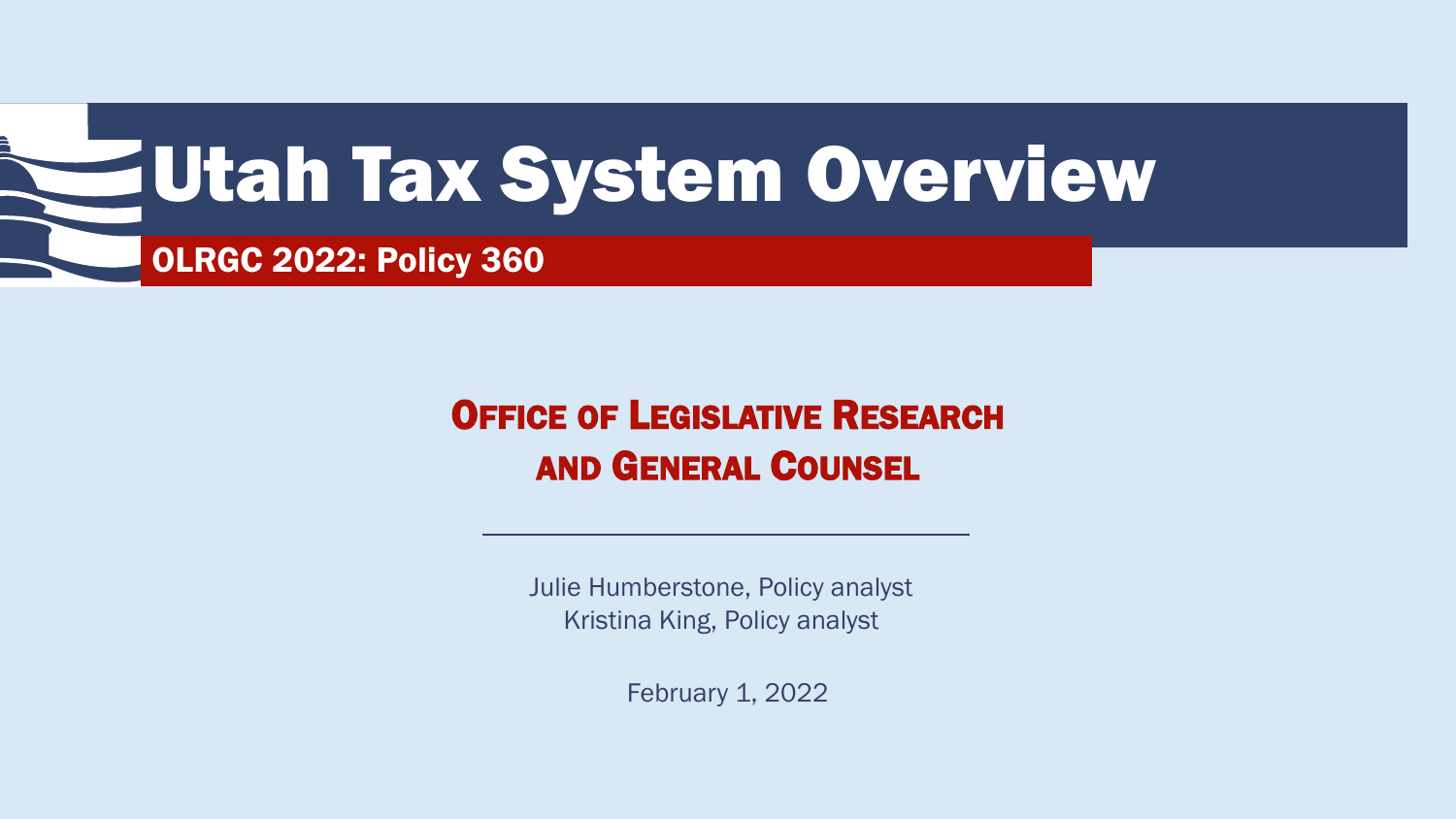

### OFFICE OF LEGISLATIVE RESEARCH AND GENERAL COUNSEL

Julie Humberstone, Policy analyst Kristina King, Policy analyst

February 1, 2022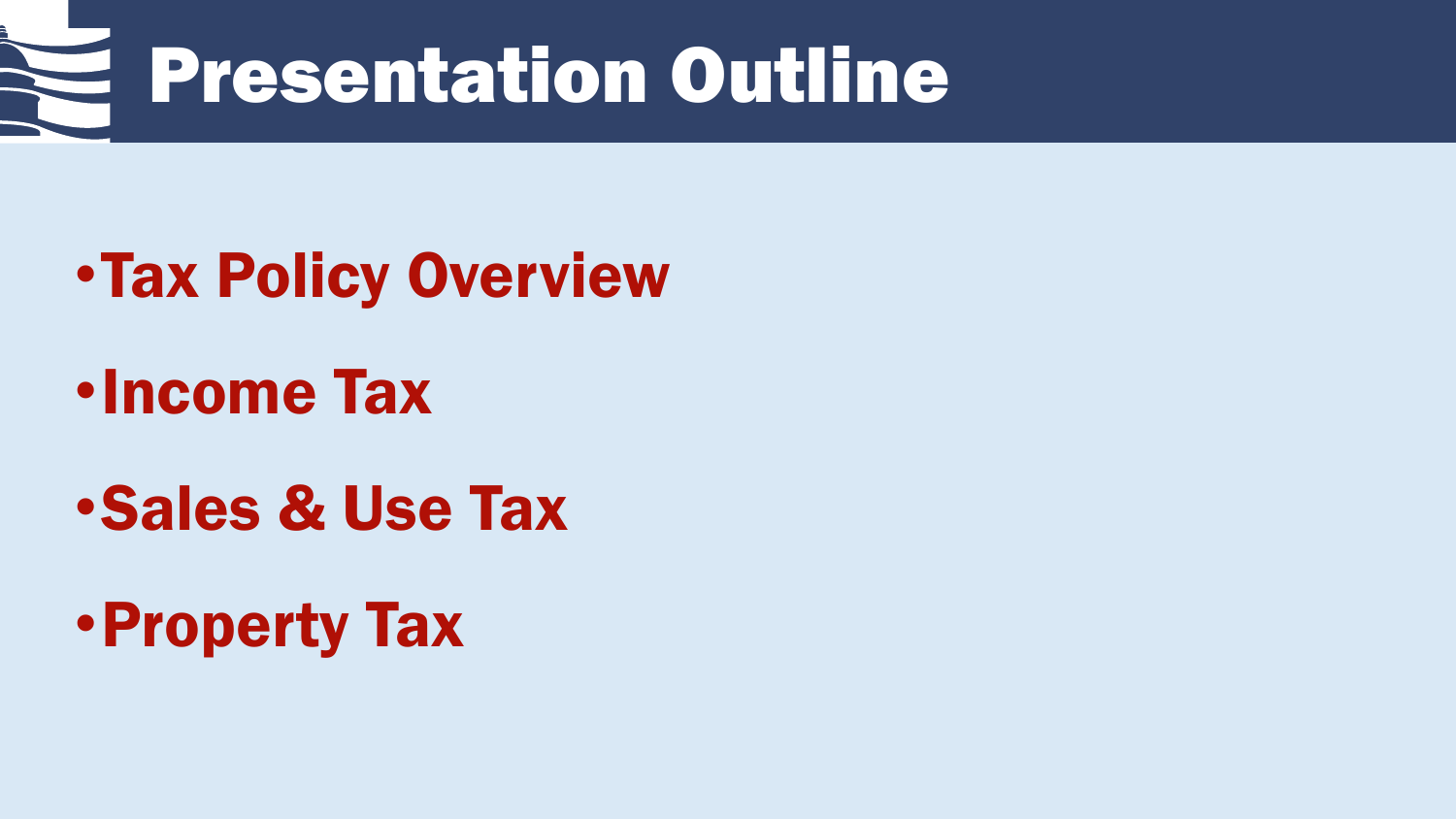

- •Tax Policy Overview
- •Income Tax
- •Sales & Use Tax
- •Property Tax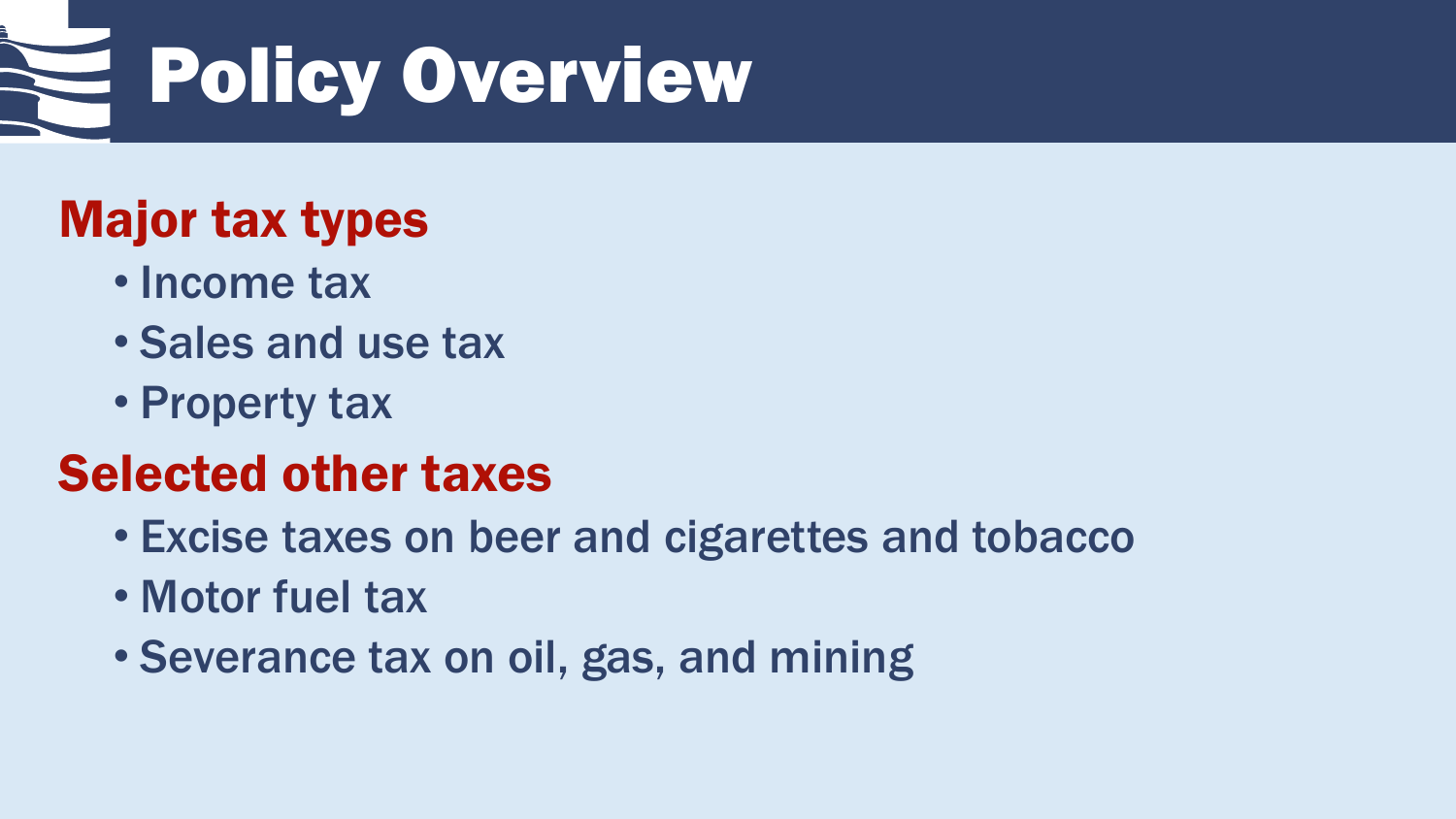

### Major tax types

- Income tax
- Sales and use tax
- Property tax

### Selected other taxes

- Excise taxes on beer and cigarettes and tobacco
- Motor fuel tax
- Severance tax on oil, gas, and mining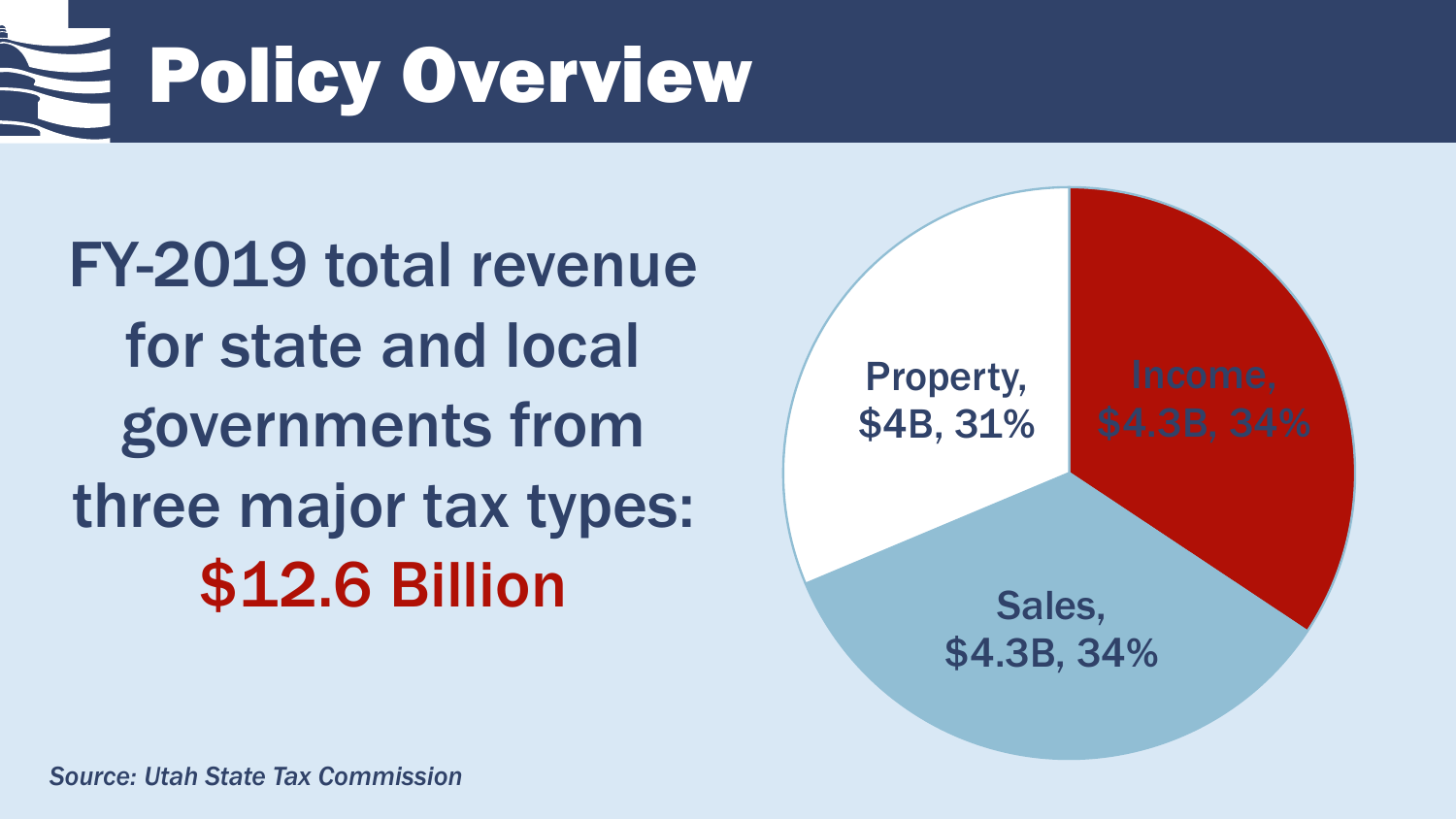Policy Overview

FY-2019 total revenue for state and local governments from three major tax types: \$12.6 Billion

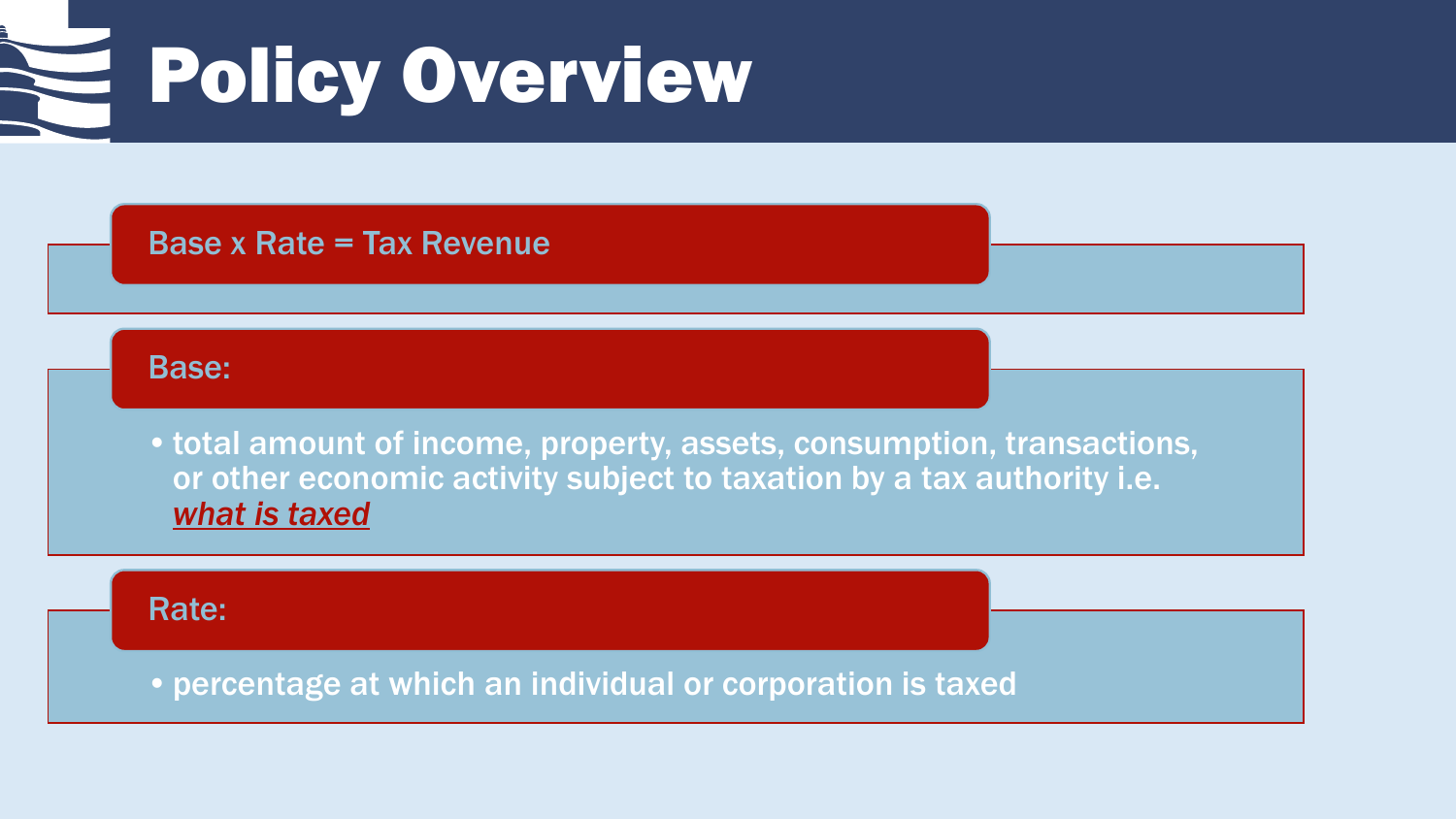# Policy Overview

### Base x Rate = Tax Revenue

#### Base:

•total amount of income, property, assets, consumption, transactions, or other economic activity subject to taxation by a tax authority i.e. *what is taxed*

#### Rate:

•percentage at which an individual or corporation is taxed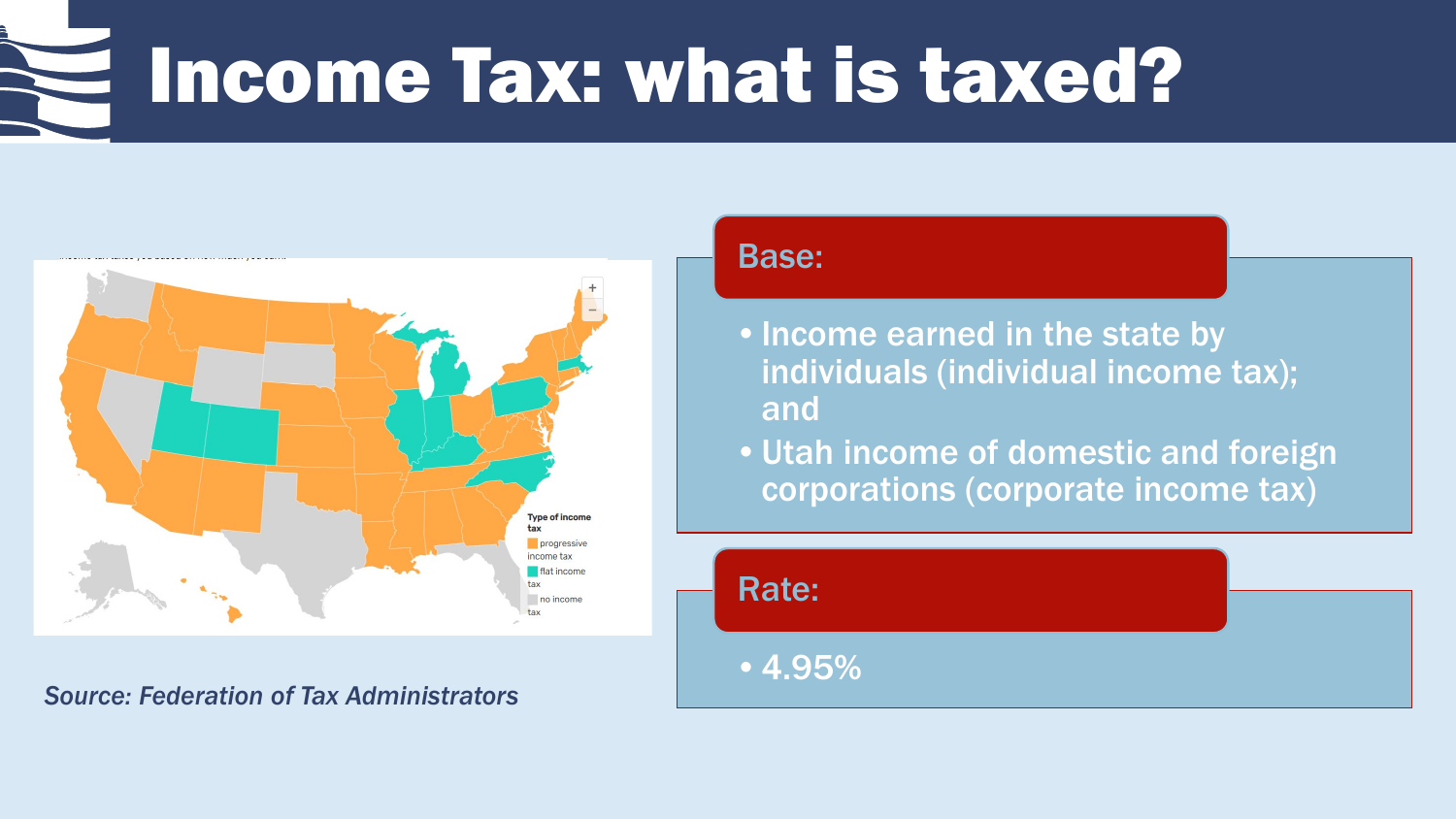## Income Tax: what is taxed?



*Source: Federation of Tax Administrators*

#### Base:

- •Income earned in the state by individuals (individual income tax); and
- •Utah income of domestic and foreign corporations (corporate income tax)

Rate:

•4.95%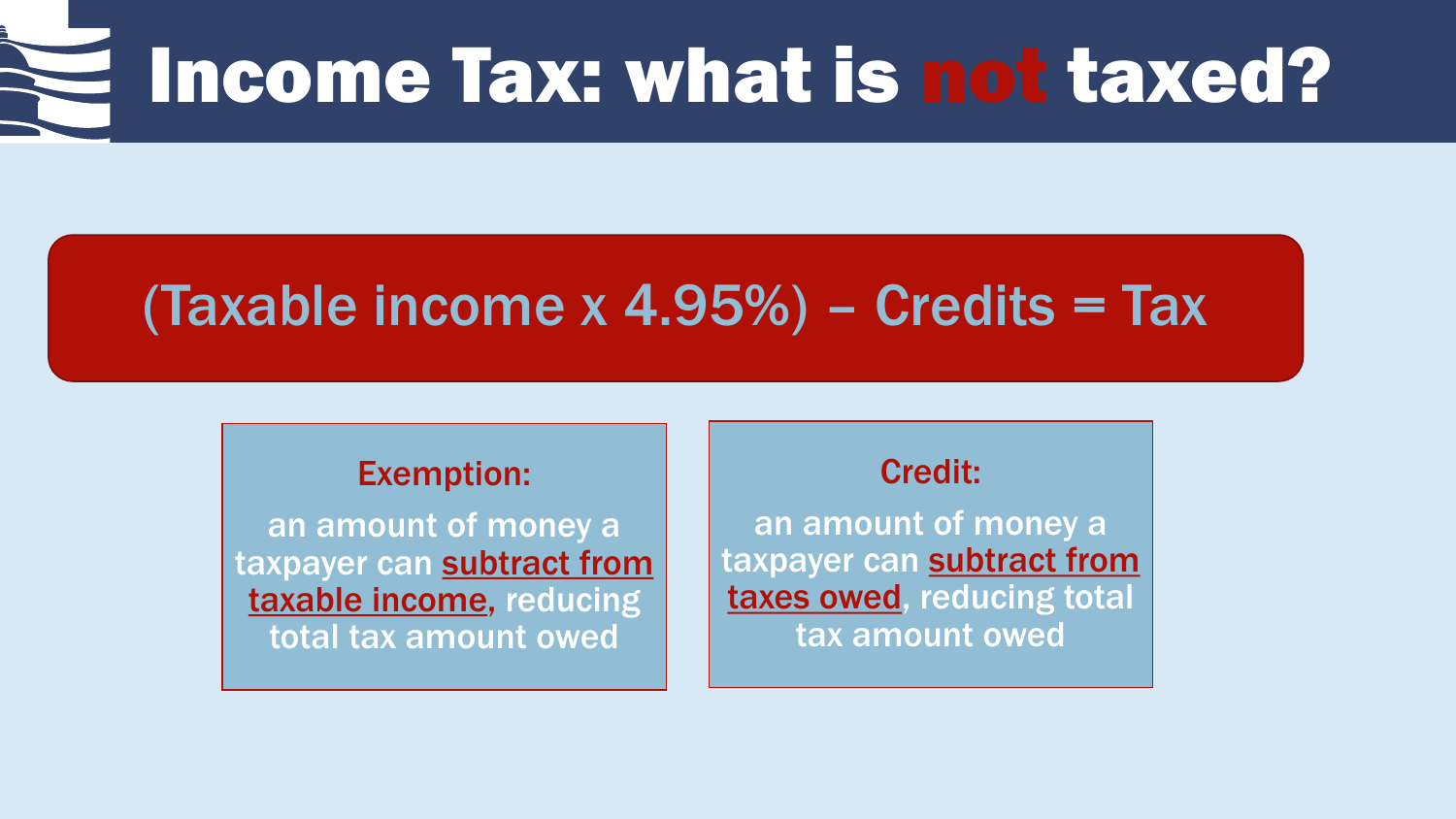# Income Tax: what is not taxed?

### (Taxable income  $x$  4.95%) – Credits = Tax

#### Exemption:

an amount of money a taxpayer can subtract from taxable income, reducing total tax amount owed

### Credit:

an amount of money a taxpayer can subtract from taxes owed, reducing total tax amount owed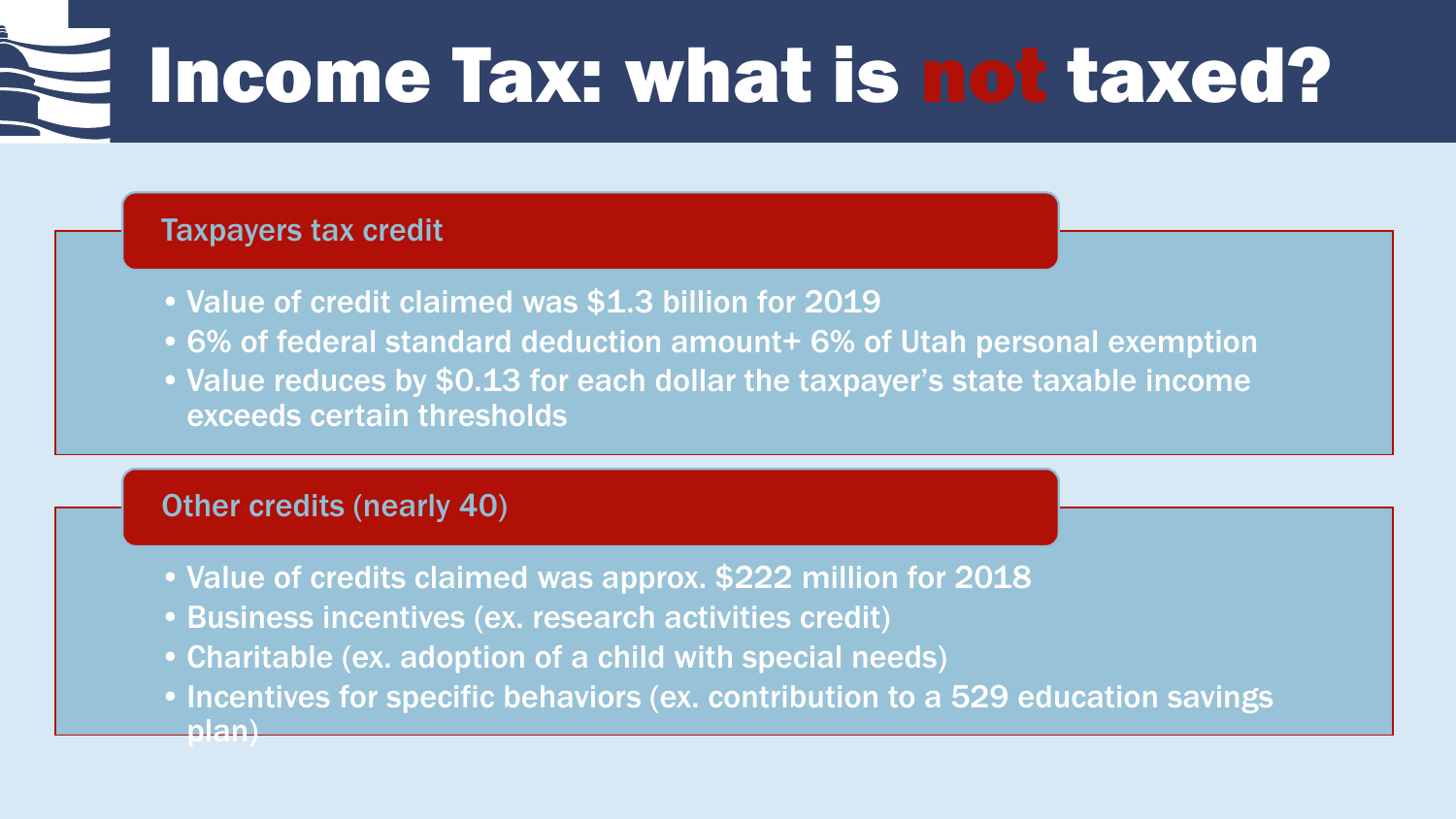## Income Tax: what is not taxed?

### Taxpayers tax credit

- •Value of credit claimed was \$1.3 billion for 2019
- •6% of federal standard deduction amount+ 6% of Utah personal exemption
- Value reduces by \$0.13 for each dollar the taxpayer's state taxable income exceeds certain thresholds

### Other credits (nearly 40)

- •Value of credits claimed was approx. \$222 million for 2018
- •Business incentives (ex. research activities credit)
- •Charitable (ex. adoption of a child with special needs)
- Incentives for specific behaviors (ex. contribution to a 529 education savings plan)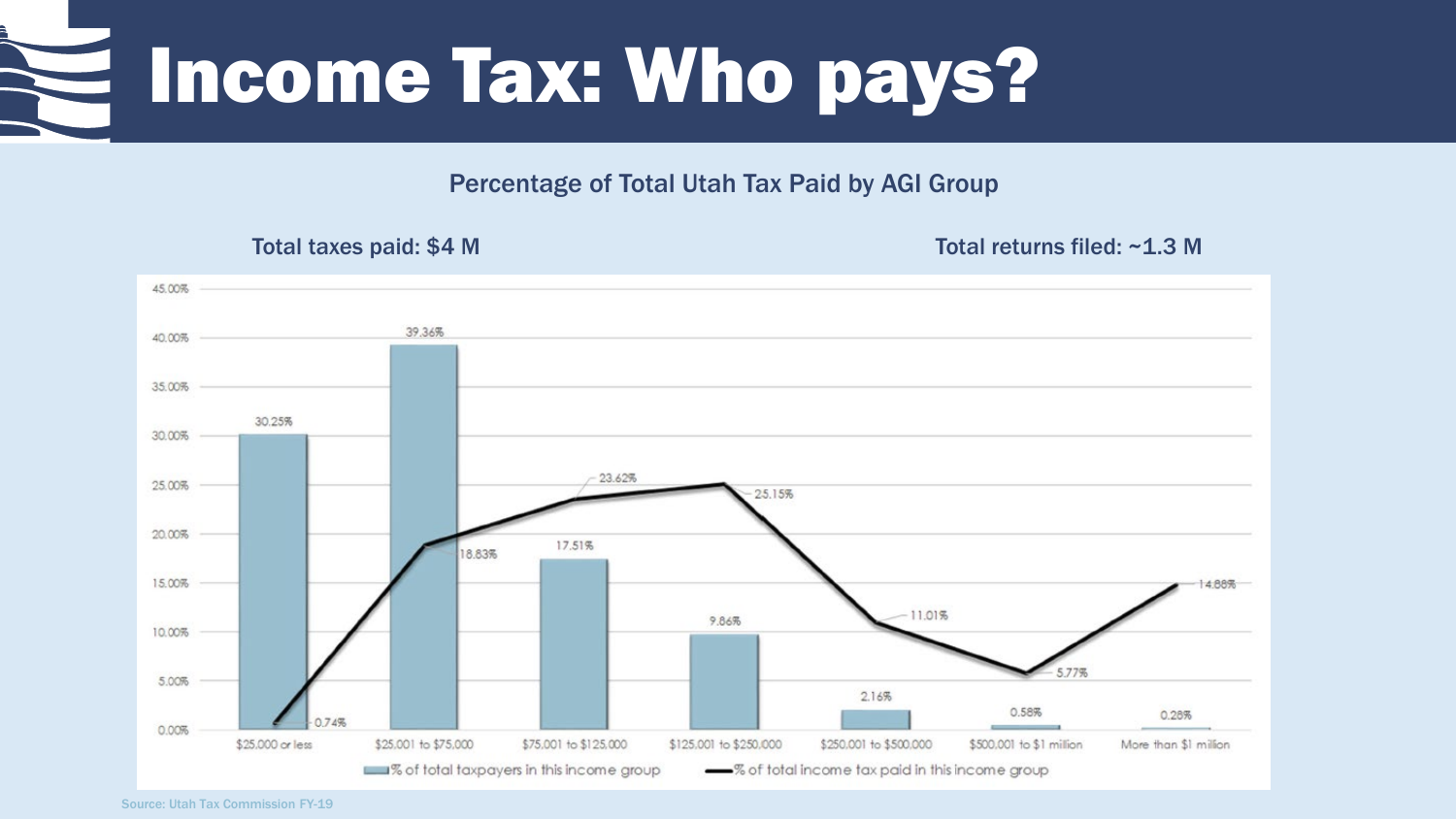### Income Tax: Who pays?

Percentage of Total Utah Tax Paid by AGI Group

Total taxes paid: \$4 M Total returns filed: ~1.3 M



Source: Utah Tax Commission FY-19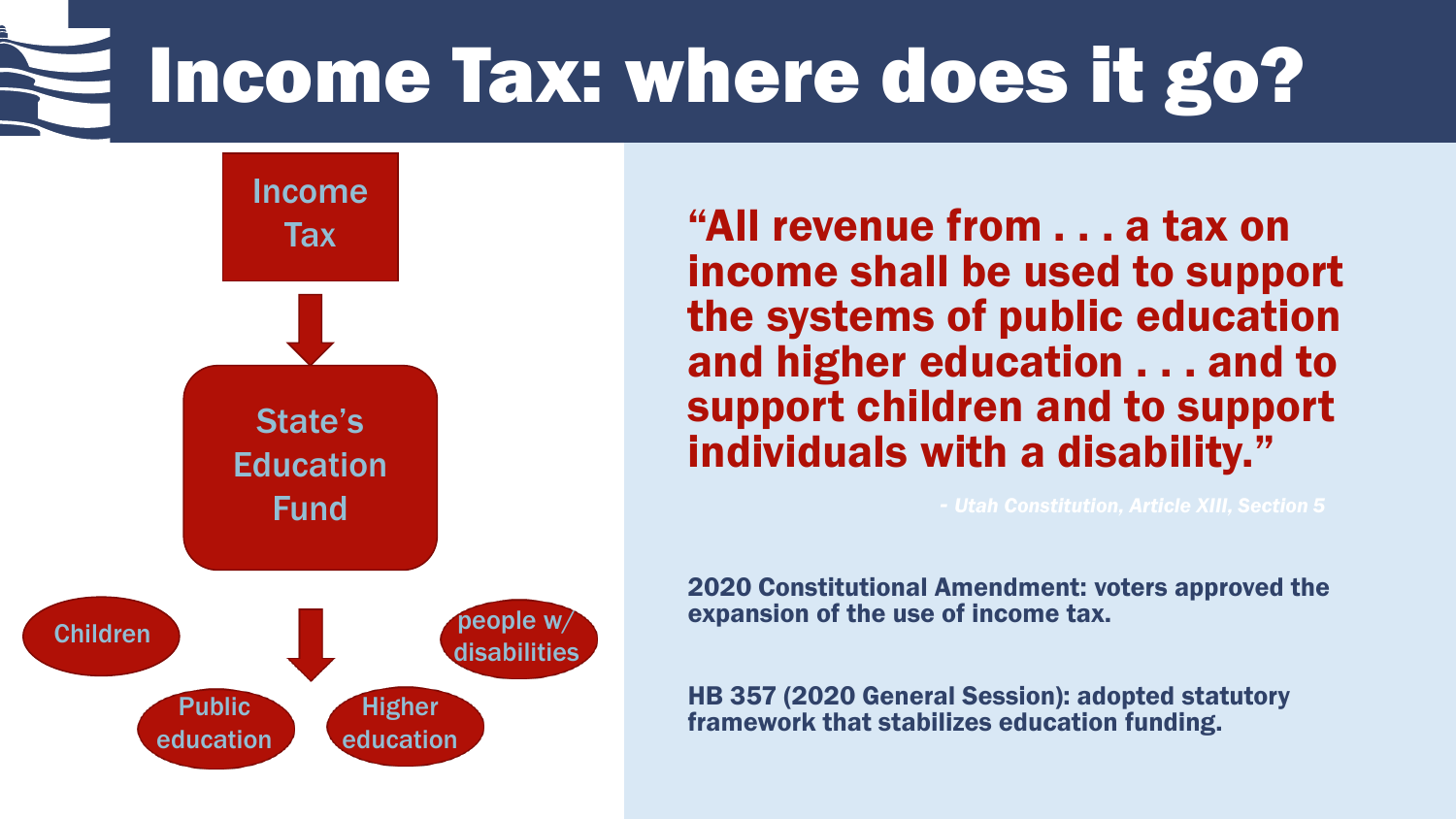## Income Tax: where does it go?



"All revenue from . . . a tax on income shall be used to support the systems of public education and higher education . . . and to support children and to support individuals with a disability."

2020 Constitutional Amendment: voters approved the expansion of the use of income tax.

HB 357 (2020 General Session): adopted statutory framework that stabilizes education funding.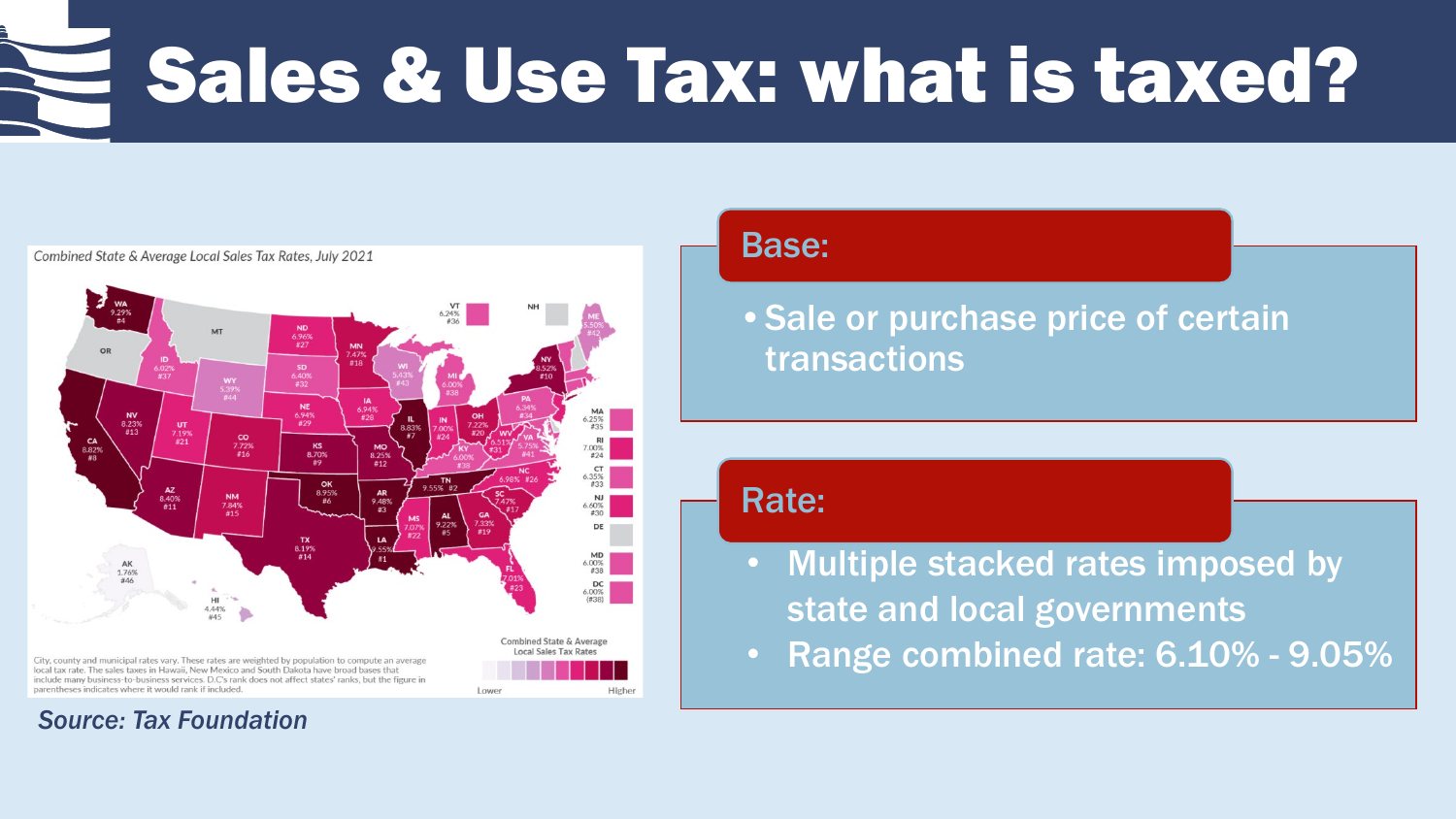### Sales & Use Tax: what is taxed?



#### Combined State & Average Local Sales Tax Rates, July 2021

#### *Source: Tax Foundation*

### Base:

•Sale or purchase price of certain transactions

### Rate:

- Multiple stacked rates imposed by state and local governments
- Range combined rate: 6.10% 9.05%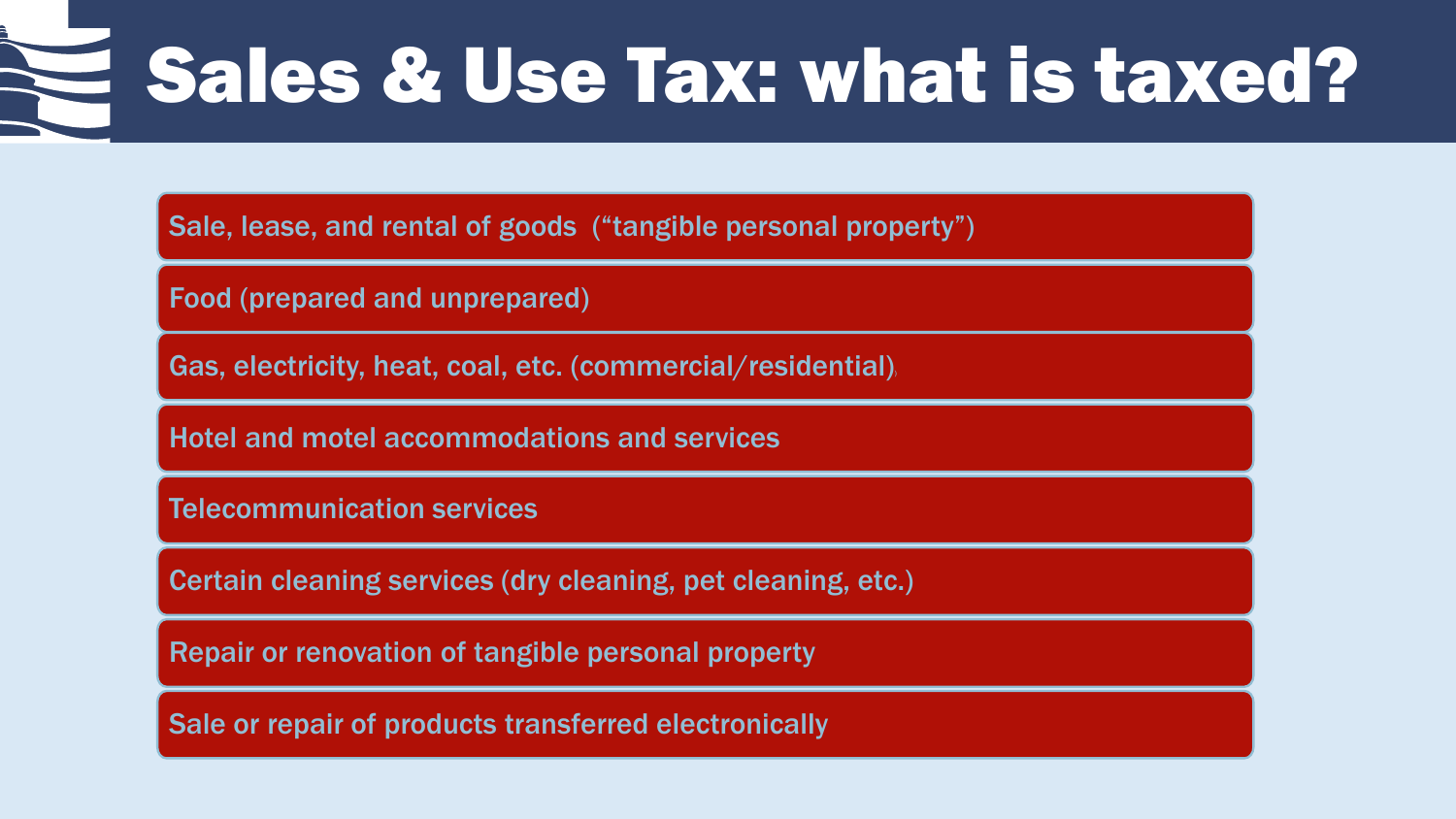## Sales & Use Tax: what is taxed?

Sale, lease, and rental of goods ("tangible personal property")

Food (prepared and unprepared)

Gas, electricity, heat, coal, etc. (commercial/residential)

Hotel and motel accommodations and services

Telecommunication services

Certain cleaning services (dry cleaning, pet cleaning, etc.)

Repair or renovation of tangible personal property

Sale or repair of products transferred electronically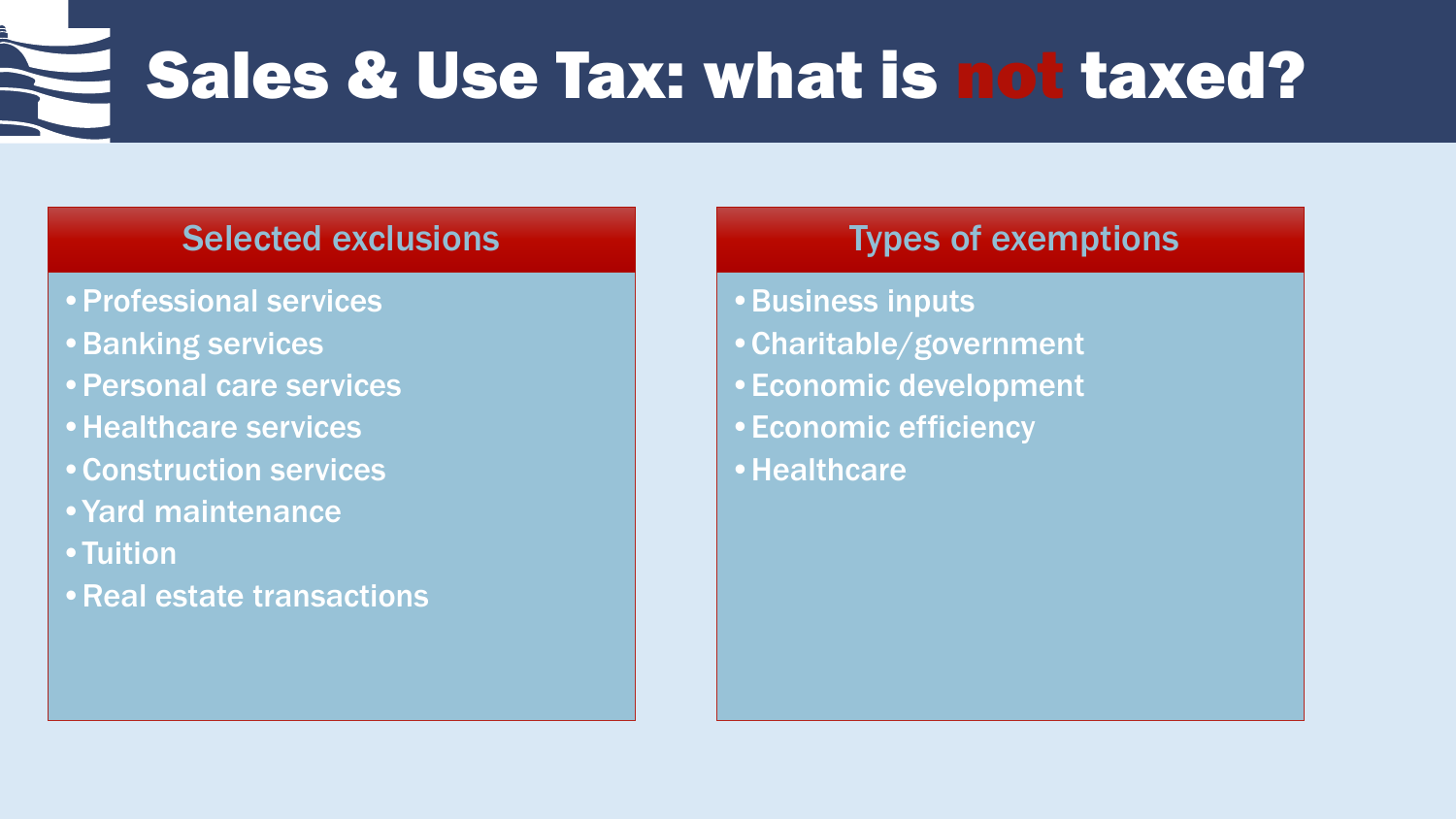Sales & Use Tax: what is not taxed?

### Selected exclusions

- •Professional services
- •Banking services
- •Personal care services
- •Healthcare services
- •Construction services
- •Yard maintenance
- •Tuition
- •Real estate transactions

### Types of exemptions

- •Business inputs
- •Charitable/government
- •Economic development
- •Economic efficiency
- •Healthcare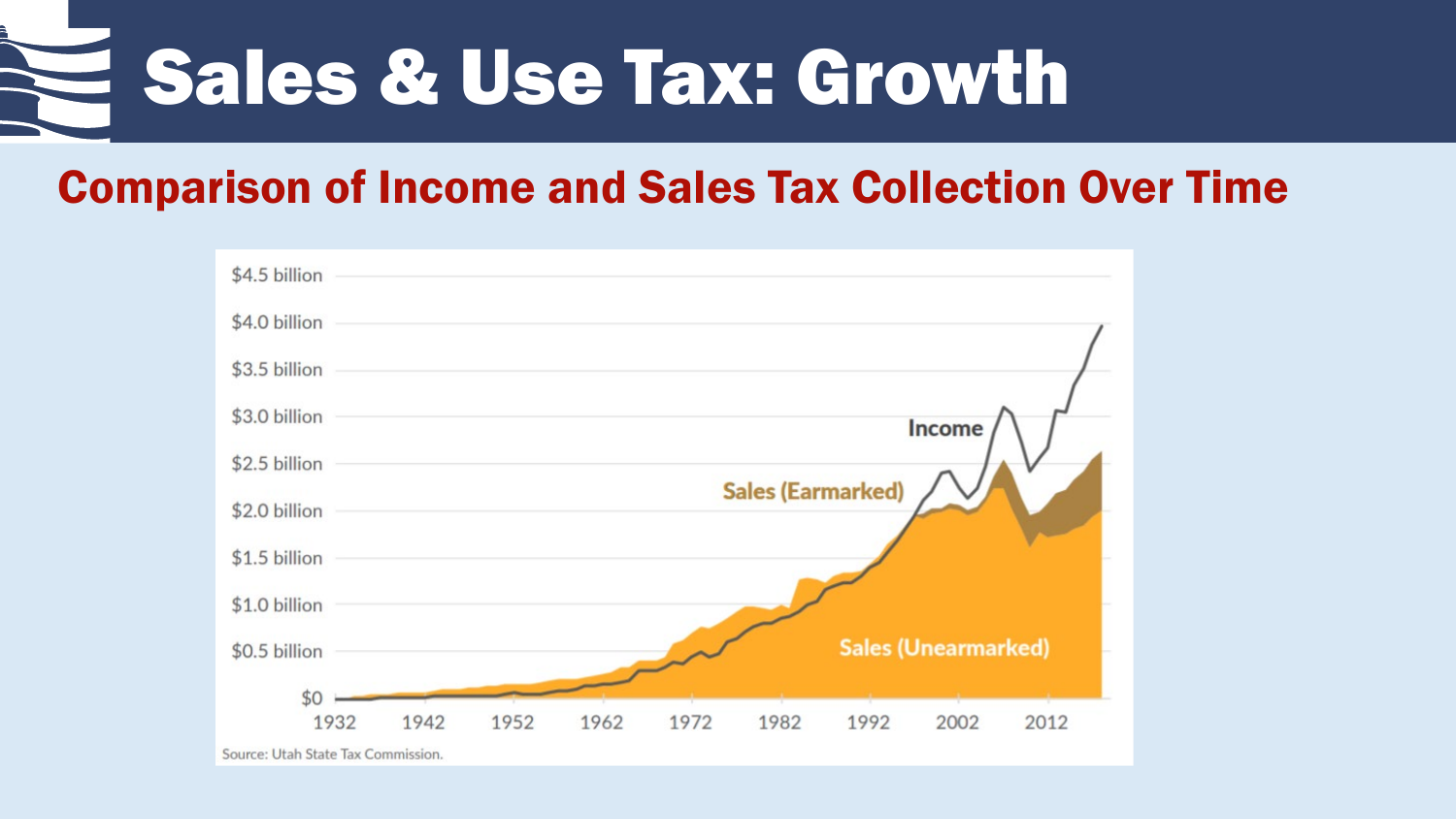

### Comparison of Income and Sales Tax Collection Over Time

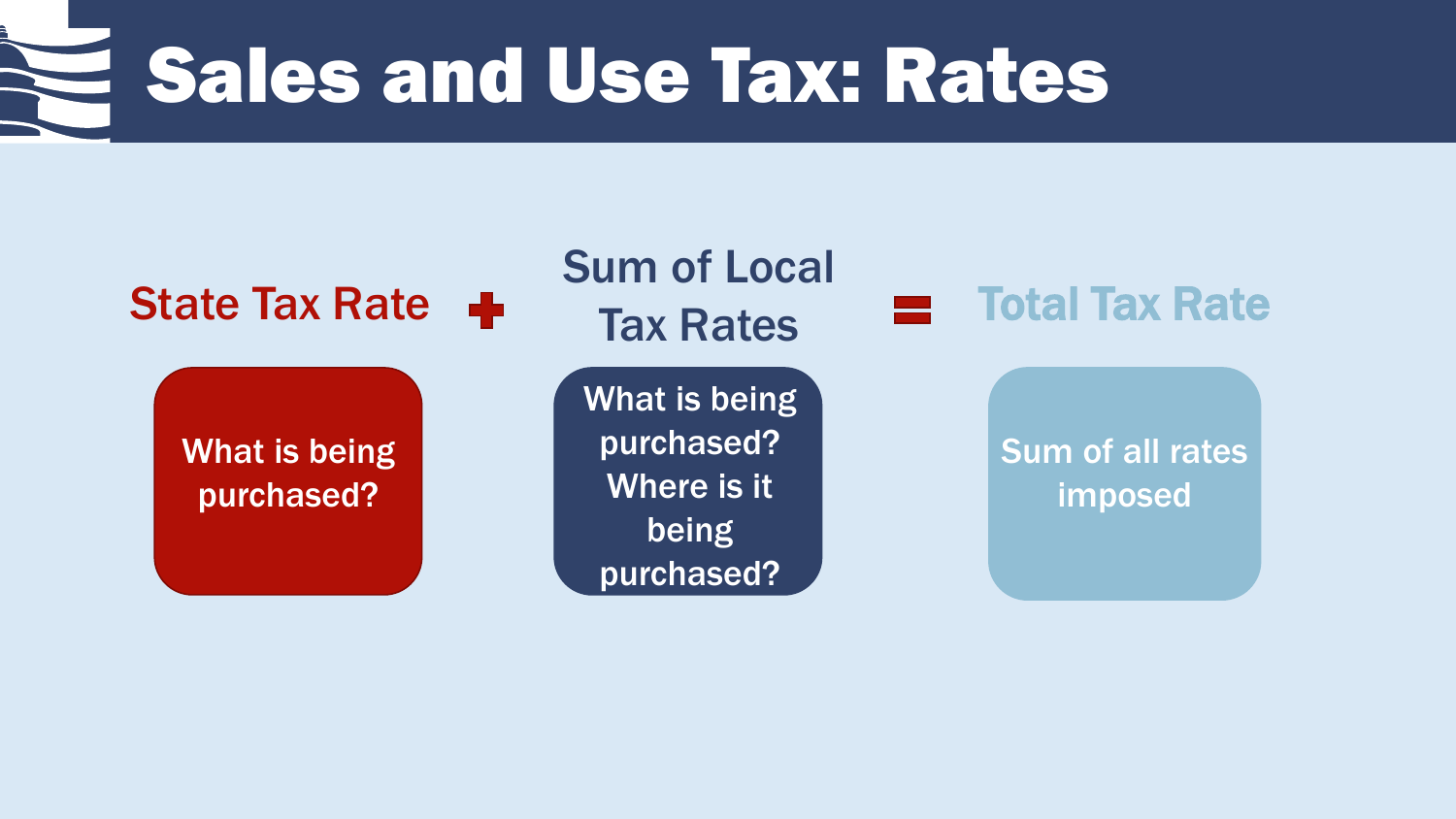Sales and Use Tax: Rates

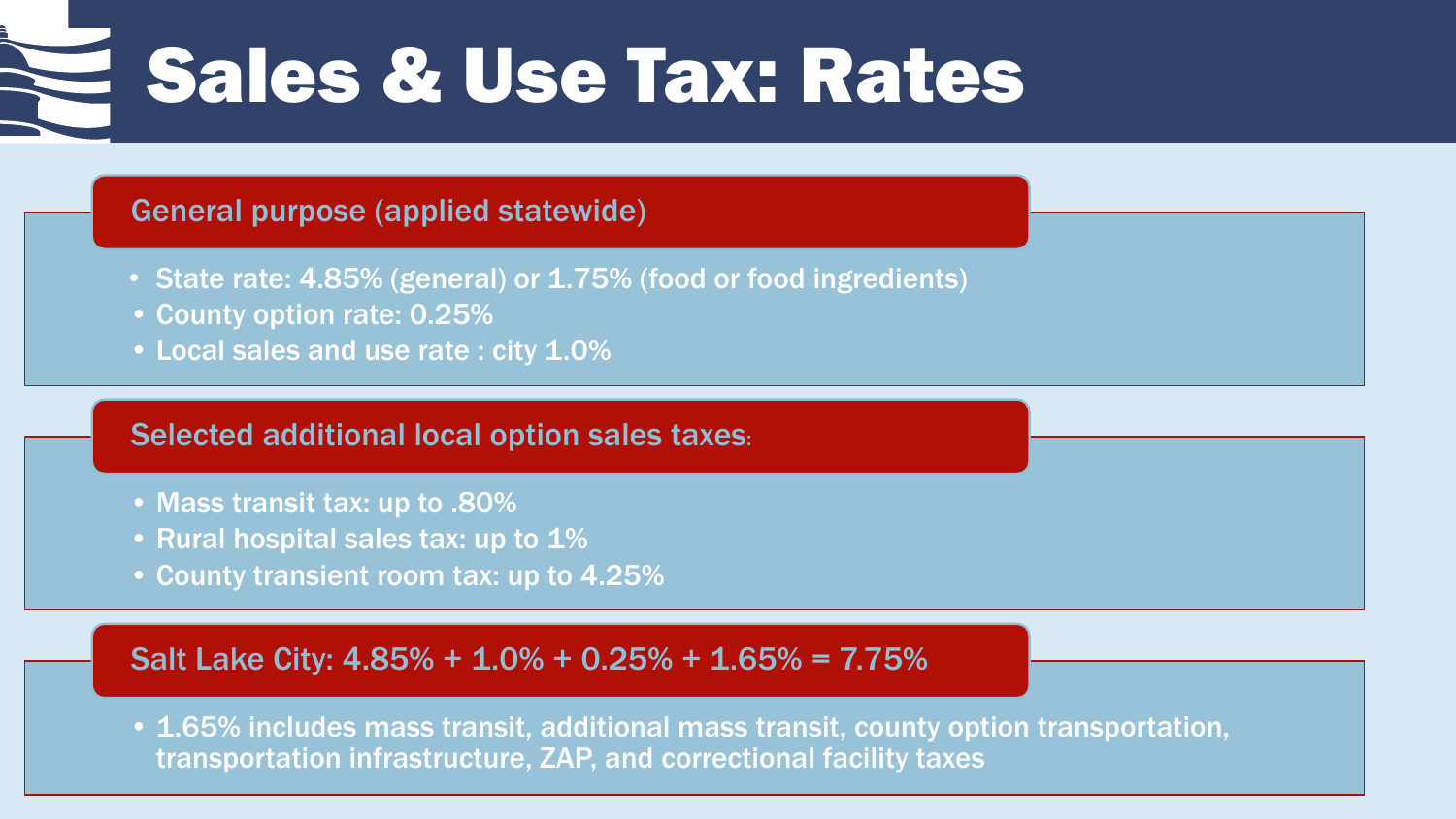Sales & Use Tax: Rates

### General purpose (applied statewide)

- State rate: 4.85% (general) or 1.75% (food or food ingredients)
- County option rate: 0.25%
- Local sales and use rate : city 1.0%

#### Selected additional local option sales taxes:

- Mass transit tax: up to .80%
- Rural hospital sales tax: up to 1%
- County transient room tax: up to 4.25%

#### Salt Lake City: 4.85% + 1.0% + 0.25% + 1.65% = 7.75%

• 1.65% includes mass transit, additional mass transit, county option transportation, transportation infrastructure, ZAP, and correctional facility taxes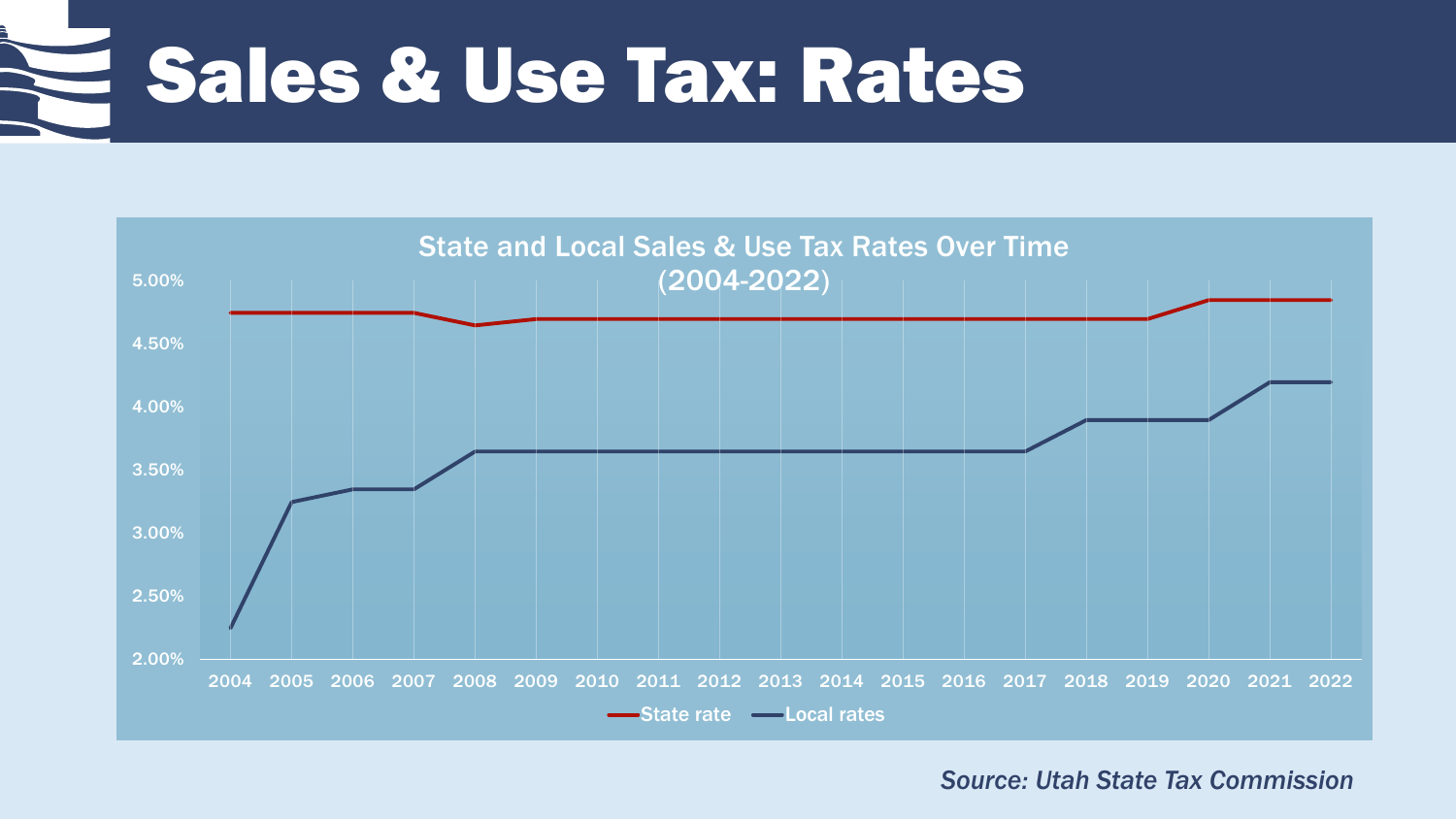Sales & Use Tax: Rates



*Source: Utah State Tax Commission*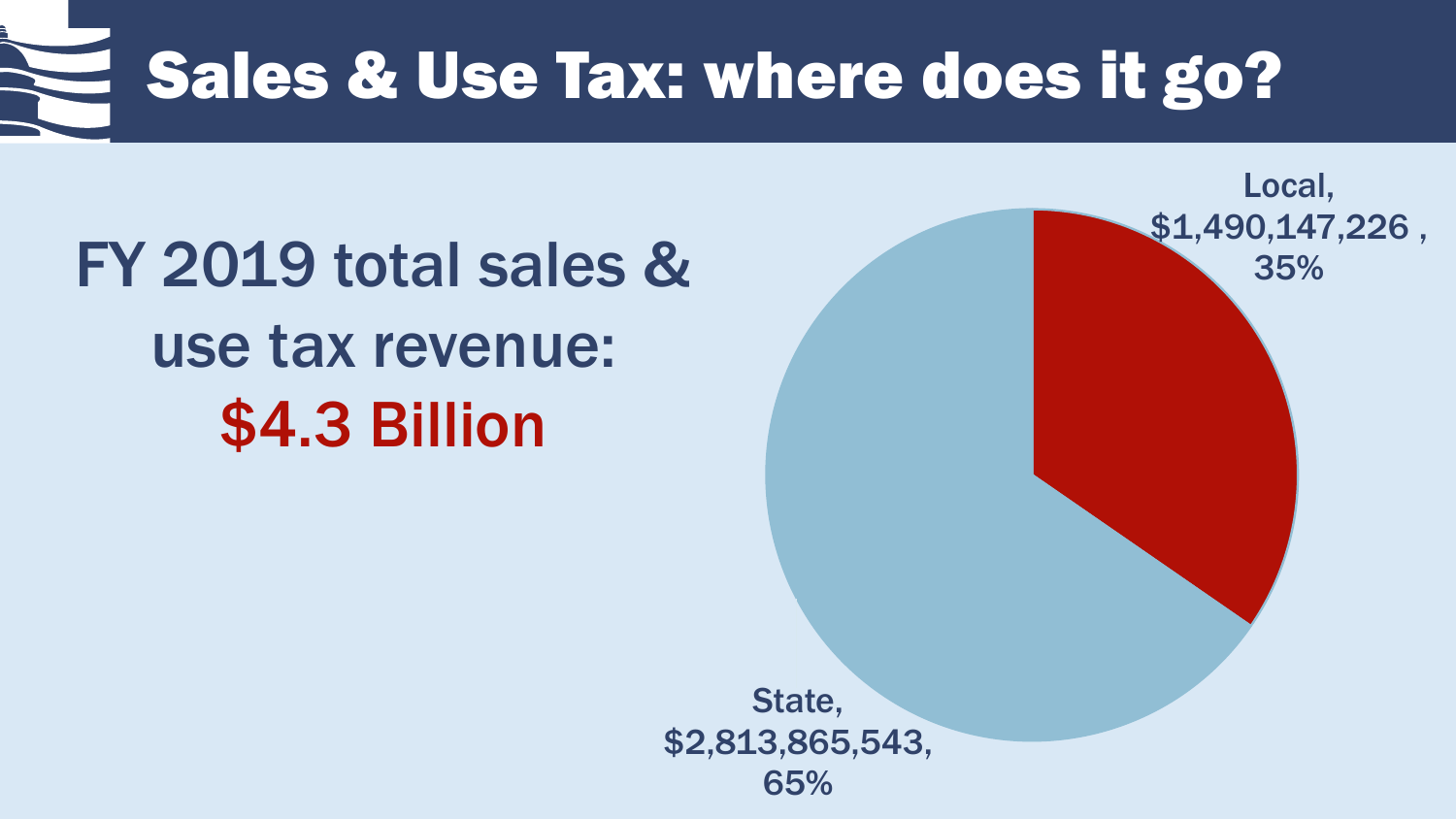# Sales & Use Tax: where does it go?

### FY 2019 total sales & use tax revenue: \$4.3 Billion

State, \$2,813,865,543, 65%

Local,

\$1,490,147,226 ,

35%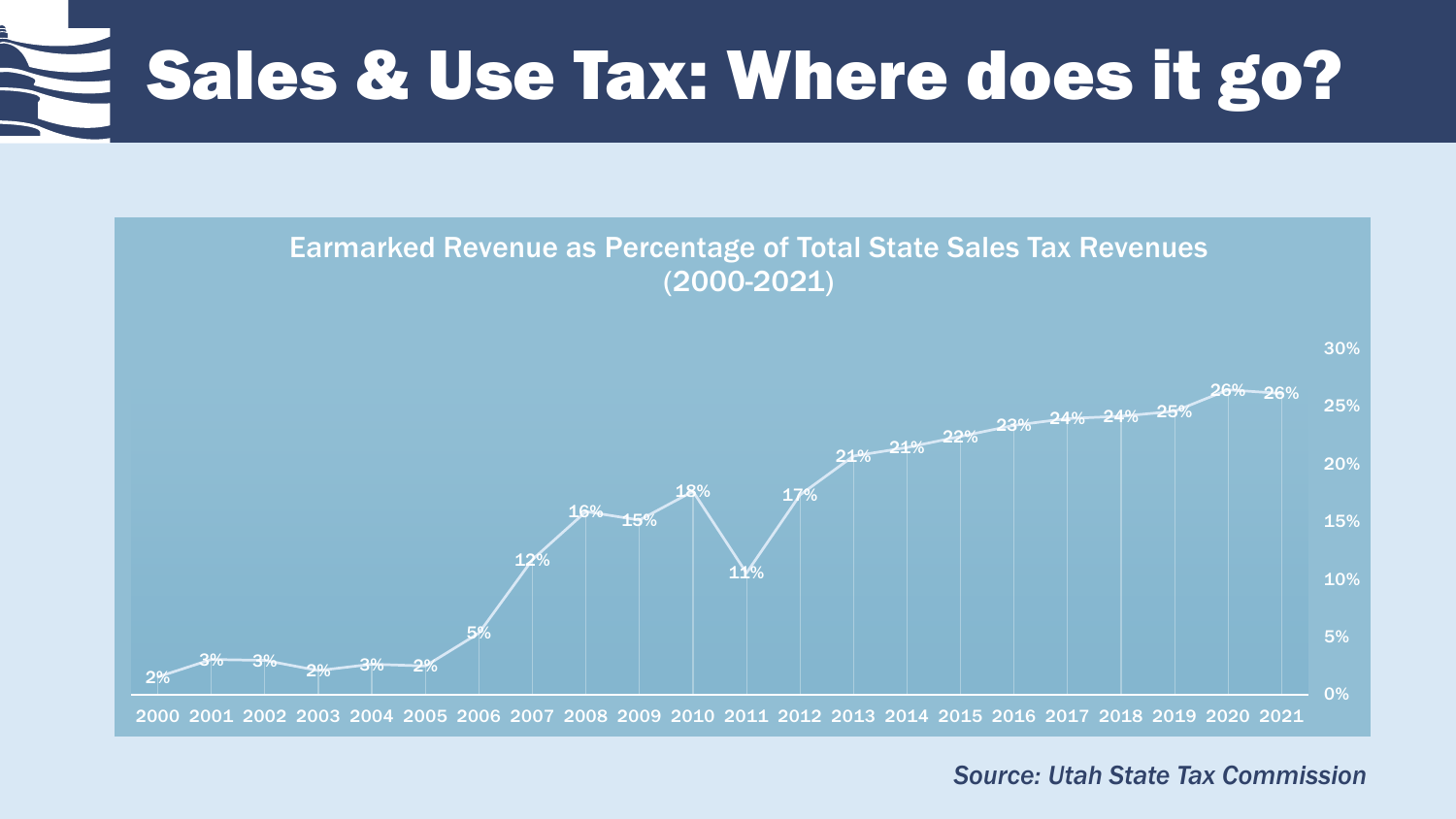### Sales & Use Tax: Where does it go?



*Source: Utah State Tax Commission*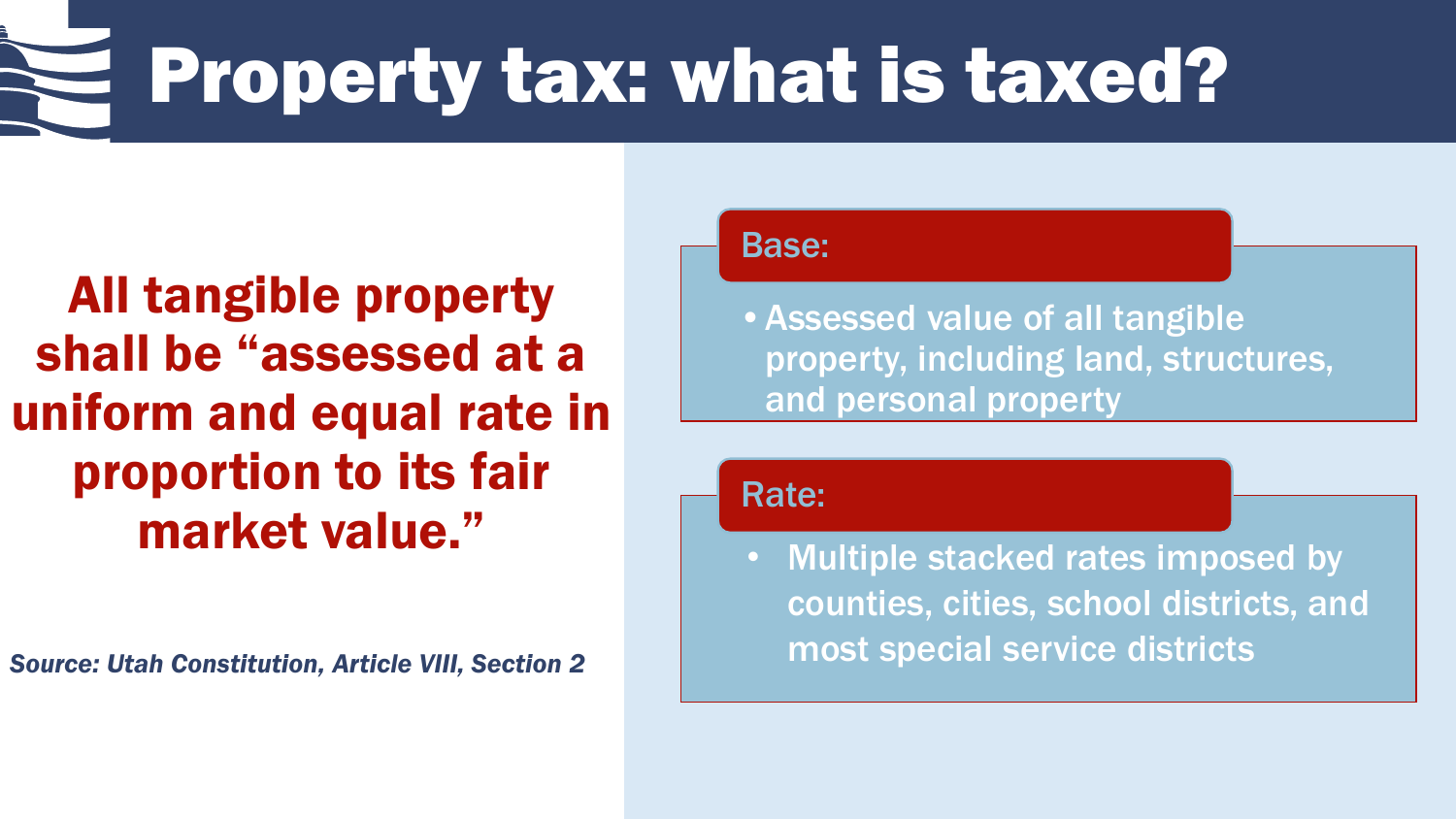## Property tax: what is taxed?

All tangible property shall be "assessed at a uniform and equal rate in proportion to its fair market value."

*Source: Utah Constitution, Article VIII, Section 2*

Base:

•Assessed value of all tangible property, including land, structures, and personal property

Rate:

• Multiple stacked rates imposed by counties, cities, school districts, and most special service districts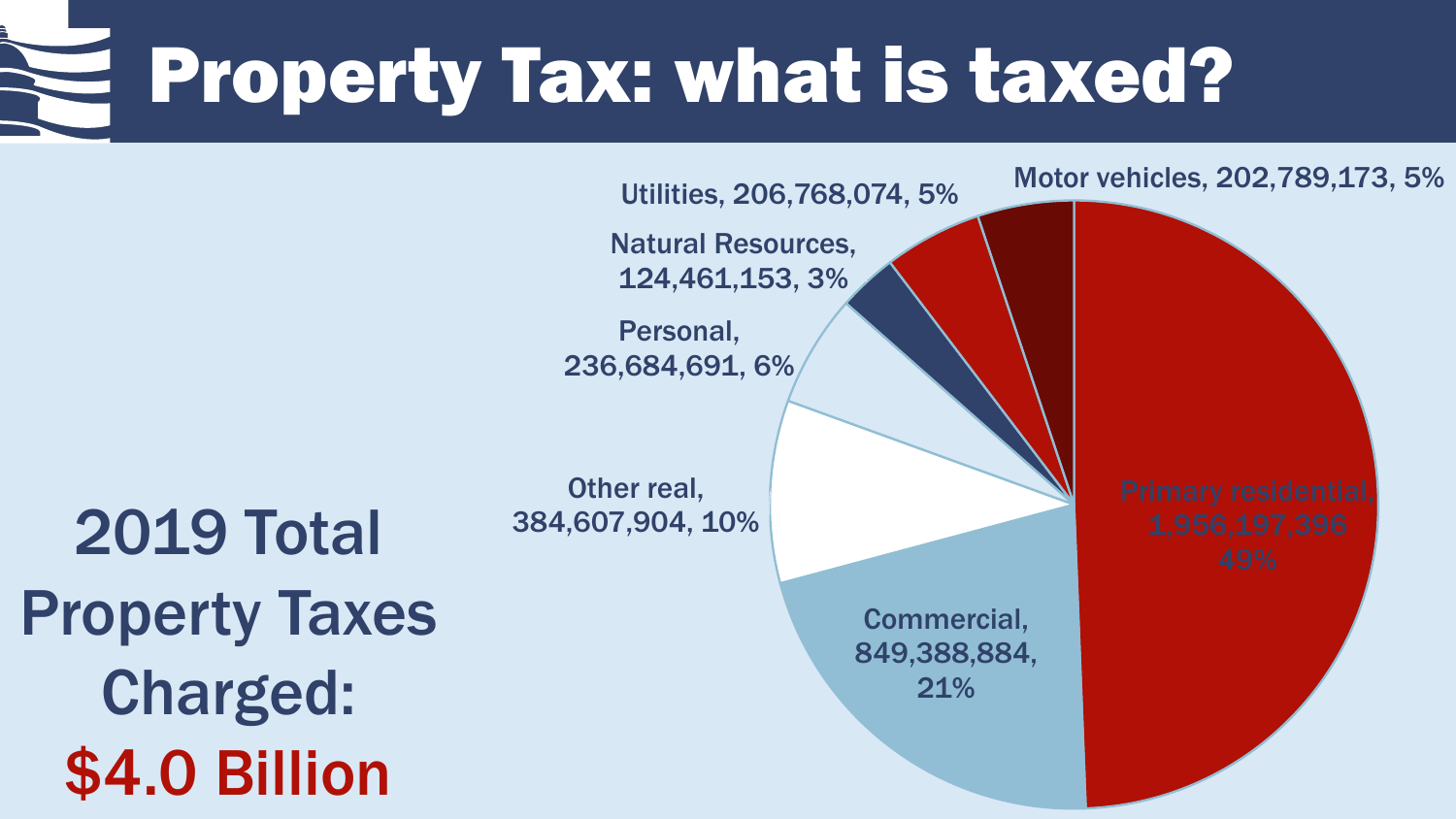## Property Tax: what is taxed?

Utilities, 206,768,074, 5% Motor vehicles, 202,789,173, 5%

Natural Resources, 124,461,153, 3%

Personal, 236,684,691, 6%

Other real, 384,607,904, 10%

2019 Total Property Taxes Charged: \$4.0 Billion

Commercial, 849,388,884, 21%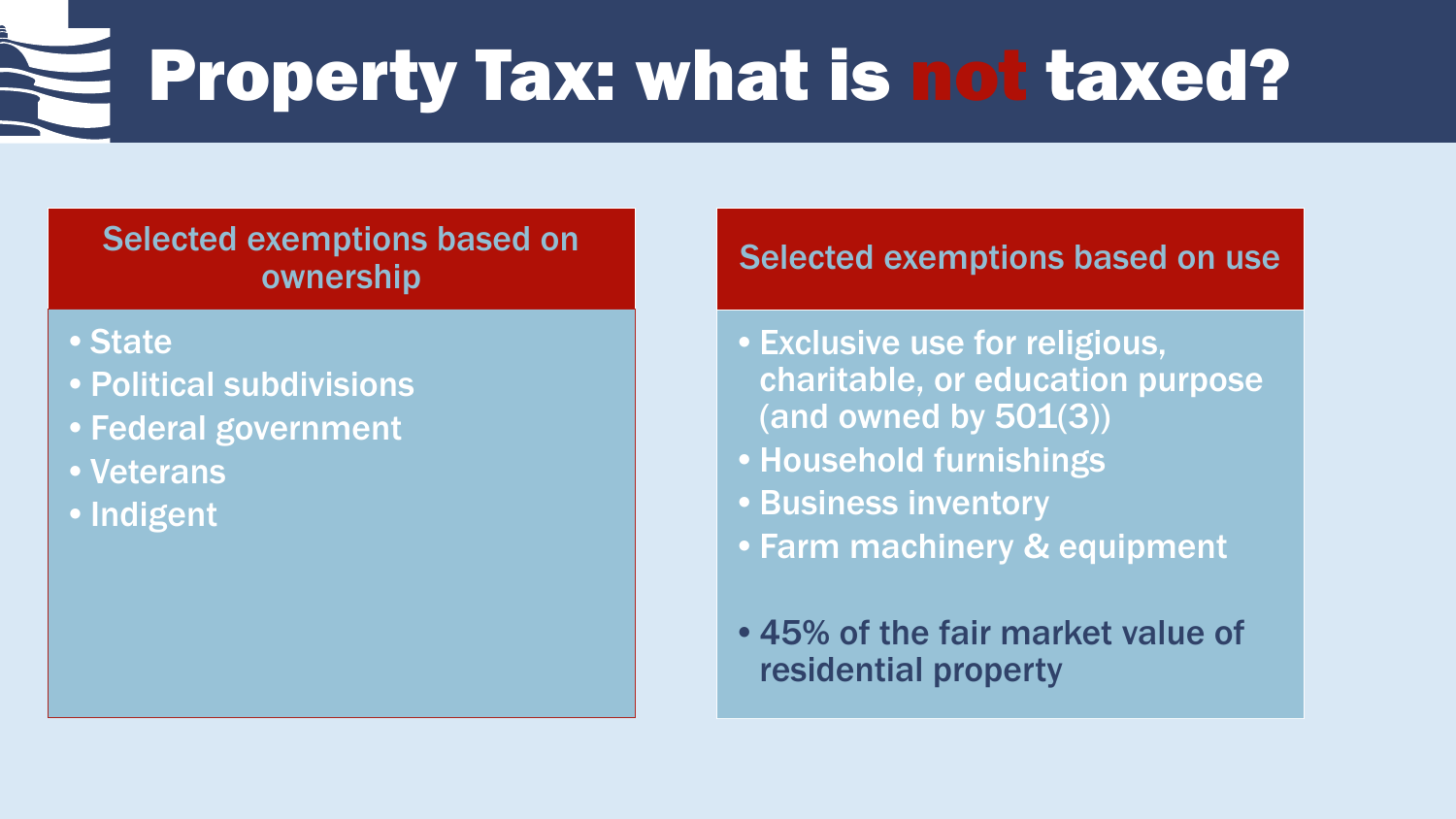### Property Tax: what is not taxed?

### Selected exemptions based on ownership

- •State
- •Political subdivisions
- •Federal government
- •Veterans
- •Indigent

### Selected exemptions based on use

- •Exclusive use for religious, charitable, or education purpose (and owned by  $501(3)$ )
- •Household furnishings
- •Business inventory
- •Farm machinery & equipment
- •45% of the fair market value of residential property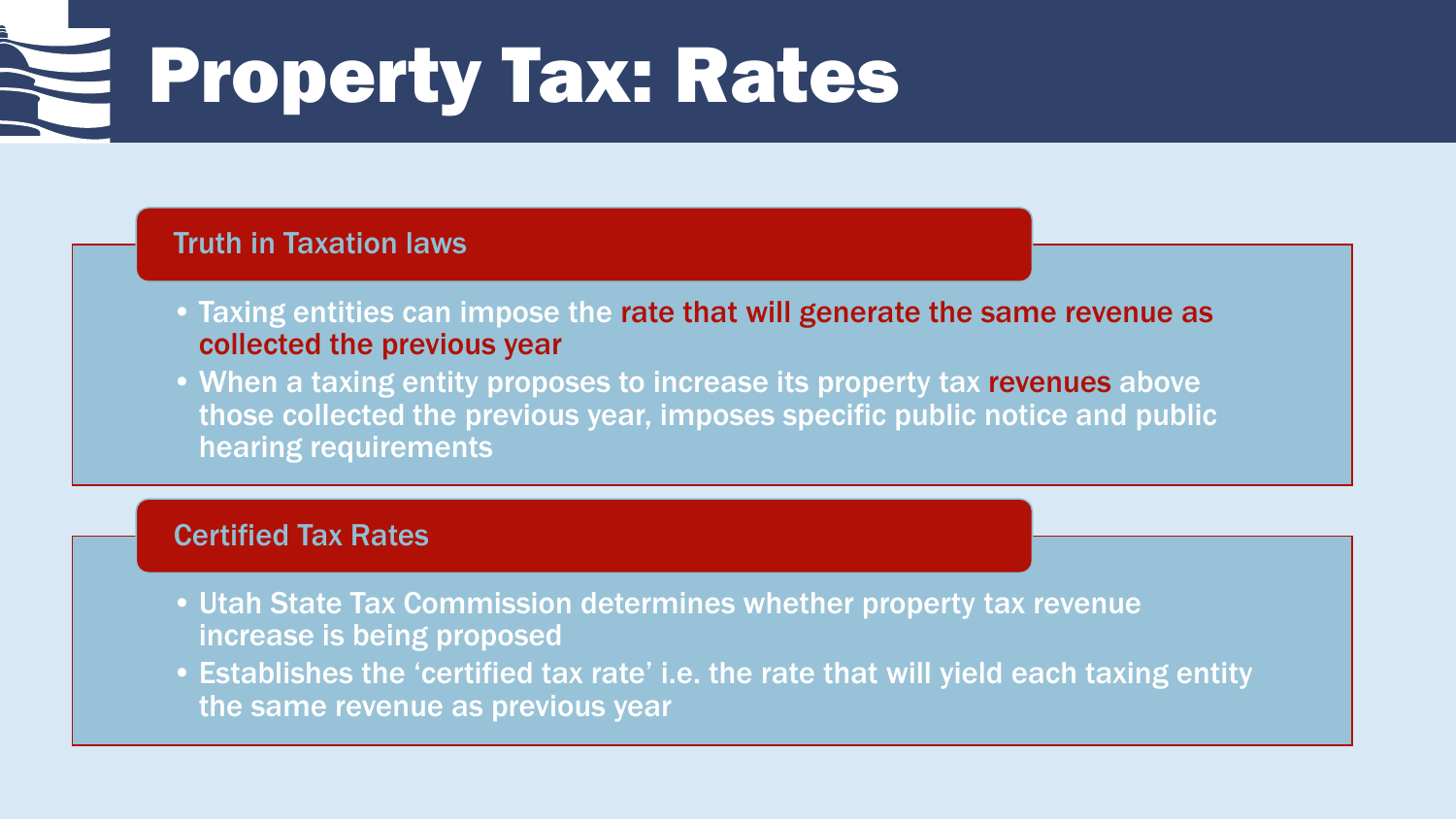# Property Tax: Rates

#### Truth in Taxation laws

- Taxing entities can impose the rate that will generate the same revenue as collected the previous year
- When a taxing entity proposes to increase its property tax revenues above those collected the previous year, imposes specific public notice and public hearing requirements

#### Certified Tax Rates

- Utah State Tax Commission determines whether property tax revenue increase is being proposed
- Establishes the 'certified tax rate' i.e. the rate that will yield each taxing entity the same revenue as previous year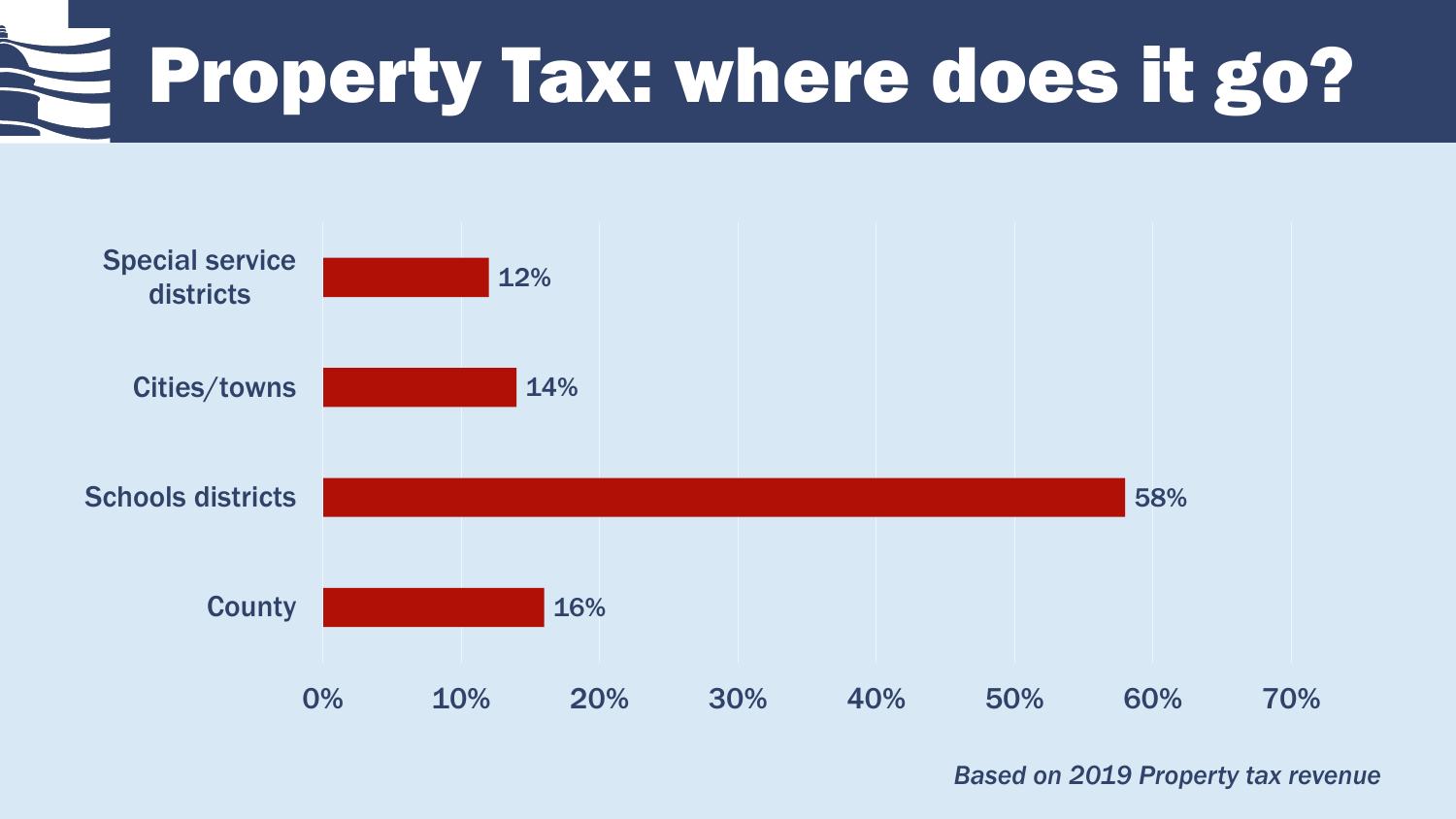# Property Tax: where does it go?



*Based on 2019 Property tax revenue*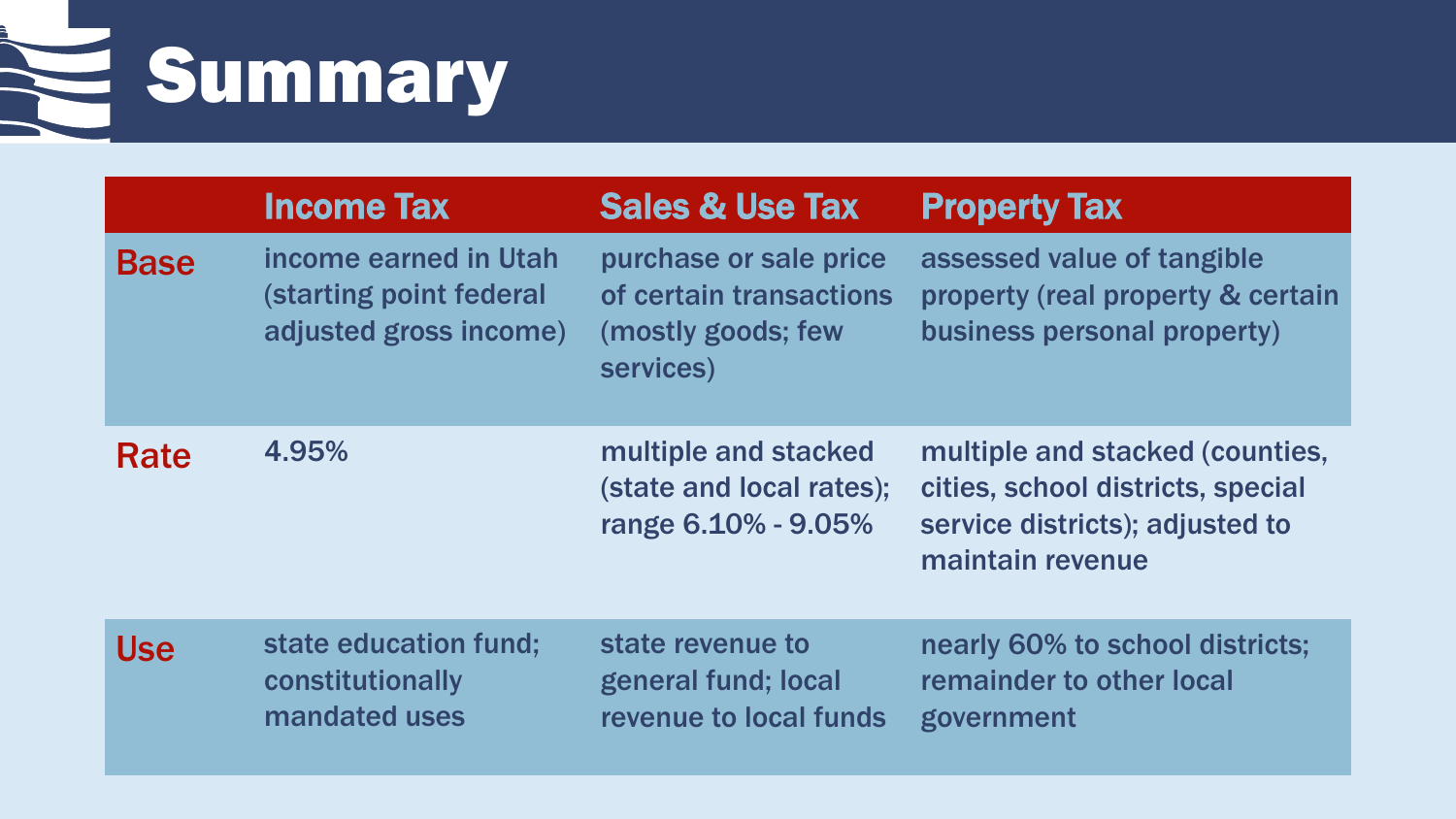Summary

|             | <b>Income Tax</b>                                                                 | <b>Sales &amp; Use Tax</b>                                                           | <b>Property Tax</b>                                                                                                         |
|-------------|-----------------------------------------------------------------------------------|--------------------------------------------------------------------------------------|-----------------------------------------------------------------------------------------------------------------------------|
| <b>Base</b> | income earned in Utah<br><b>(starting point federal</b><br>adjusted gross income) | purchase or sale price<br>of certain transactions<br>(mostly goods; few<br>services) | assessed value of tangible<br>property (real property & certain<br>business personal property)                              |
| Rate        | 4.95%                                                                             | multiple and stacked<br>(state and local rates);<br>range 6.10% - 9.05%              | multiple and stacked (counties,<br>cities, school districts, special<br>service districts); adjusted to<br>maintain revenue |
| <b>Use</b>  | state education fund;<br>constitutionally<br>mandated uses                        | state revenue to<br>general fund; local<br>revenue to local funds                    | nearly 60% to school districts;<br>remainder to other local<br>government                                                   |